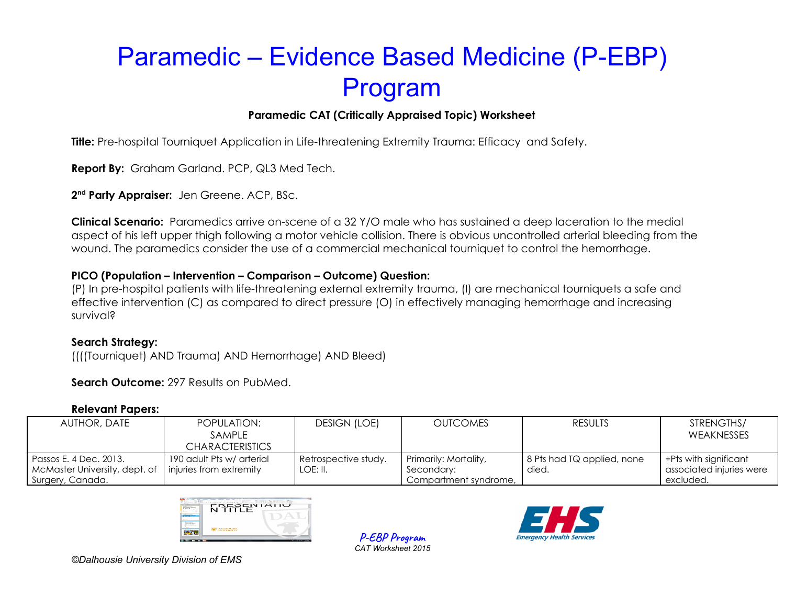## **Paramedic CAT (Critically Appraised Topic) Worksheet**

**Title:** Pre-hospital Tourniquet Application in Life-threatening Extremity Trauma: Efficacy and Safety.

**Report By:** Graham Garland. PCP, QL3 Med Tech.

**2 nd Party Appraiser:** Jen Greene. ACP, BSc.

**Clinical Scenario:** Paramedics arrive on-scene of a 32 Y/O male who has sustained a deep laceration to the medial aspect of his left upper thigh following a motor vehicle collision. There is obvious uncontrolled arterial bleeding from the wound. The paramedics consider the use of a commercial mechanical tourniquet to control the hemorrhage.

### **PICO (Population – Intervention – Comparison – Outcome) Question:**

(P) In pre-hospital patients with life-threatening external extremity trauma, (I) are mechanical tourniquets a safe and effective intervention (C) as compared to direct pressure (O) in effectively managing hemorrhage and increasing survival?

### **Search Strategy:**

((((Tourniquet) AND Trauma) AND Hemorrhage) AND Bleed)

**Search Outcome:** 297 Results on PubMed.

#### **Relevant Papers:**

| AUTHOR, DATE                  | POPULATION:<br><b>SAMPLE</b> | <b>DESIGN (LOE)</b>  | <b>OUTCOMES</b>       | <b>RESULTS</b>             | STRENGTHS/<br>WEAKNESSES |
|-------------------------------|------------------------------|----------------------|-----------------------|----------------------------|--------------------------|
|                               | <b>CHARACTERISTICS</b>       |                      |                       |                            |                          |
| Passos E. 4 Dec. 2013.        | 190 adult Pts w/ arterial    | Retrospective study. | Primarily: Mortality, | 8 Pts had TQ applied, none | $+$ Pts with significant |
| McMaster University, dept. of | injuries from extremity      | LOE: II.             | Secondary:            | died.                      | associated injuries were |
| Surgery, Canada.              |                              |                      | Compartment syndrome. |                            | excluded.                |

**P-EBP Program** *CAT Worksheet 2015*

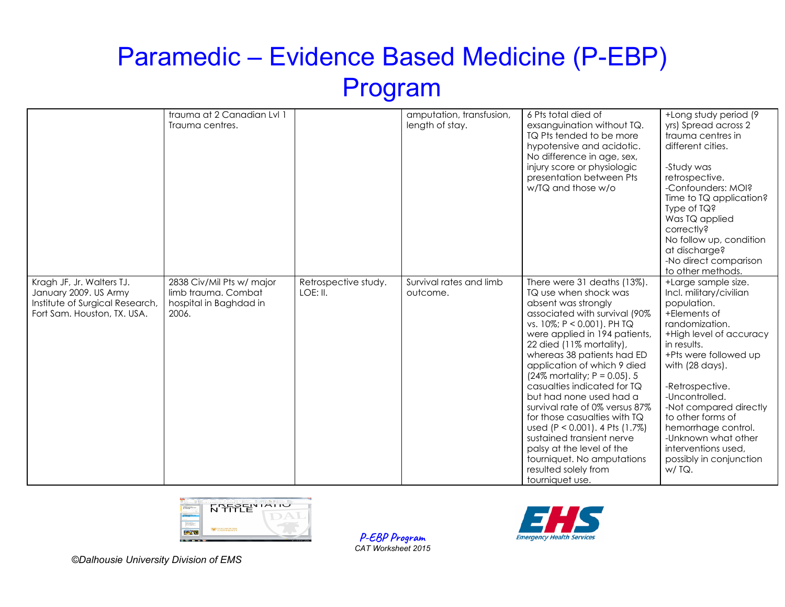|                                                                                                                      | trauma at 2 Canadian Lvl 1<br>Trauma centres.                                       |                                  | amputation, transfusion,<br>length of stay. | 6 Pts total died of<br>exsanguination without TQ.<br>TQ Pts tended to be more<br>hypotensive and acidotic.<br>No difference in age, sex,<br>injury score or physiologic<br>presentation between Pts<br>w/TQ and those w/o                                                                                                                                                                                                                                                                                                                                                                                | +Long study period (9<br>yrs) Spread across 2<br>trauma centres in<br>different cities.<br>-Study was<br>retrospective.<br>-Confounders: MOI?<br>Time to TQ application?<br>Type of $IQ$ ?<br>Was TQ applied<br>correctly?<br>No follow up, condition<br>at discharge?<br>-No direct comparison<br>to other methods.                                                                  |
|----------------------------------------------------------------------------------------------------------------------|-------------------------------------------------------------------------------------|----------------------------------|---------------------------------------------|----------------------------------------------------------------------------------------------------------------------------------------------------------------------------------------------------------------------------------------------------------------------------------------------------------------------------------------------------------------------------------------------------------------------------------------------------------------------------------------------------------------------------------------------------------------------------------------------------------|---------------------------------------------------------------------------------------------------------------------------------------------------------------------------------------------------------------------------------------------------------------------------------------------------------------------------------------------------------------------------------------|
| Kragh JF, Jr. Walters TJ.<br>January 2009. US Army<br>Institute of Surgical Research,<br>Fort Sam. Houston, TX. USA. | 2838 Civ/Mil Pts w/ major<br>limb trauma. Combat<br>hospital in Baghdad in<br>2006. | Retrospective study.<br>LOE: II. | Survival rates and limb<br>outcome.         | There were 31 deaths (13%).<br>TQ use when shock was<br>absent was strongly<br>associated with survival (90%<br>vs. 10%; P < 0.001). PH TQ<br>were applied in 194 patients,<br>22 died (11% mortality),<br>whereas 38 patients had ED<br>application of which 9 died<br>$(24\%$ mortality; P = 0.05). 5<br>casualties indicated for TQ<br>but had none used had a<br>survival rate of 0% versus 87%<br>for those casualties with TQ<br>used (P < 0.001). 4 Pts (1.7%)<br>sustained transient nerve<br>palsy at the level of the<br>tourniquet. No amputations<br>resulted solely from<br>tourniquet use. | +Large sample size.<br>Incl. military/civilian<br>population.<br>+Elements of<br>randomization.<br>+High level of accuracy<br>in results.<br>+Pts were followed up<br>with (28 days).<br>-Retrospective.<br>-Uncontrolled.<br>-Not compared directly<br>to other forms of<br>hemorrhage control.<br>-Unknown what other<br>interventions used,<br>possibly in conjunction<br>$W/TQ$ . |



**P-EBP Program** *CAT Worksheet 2015*

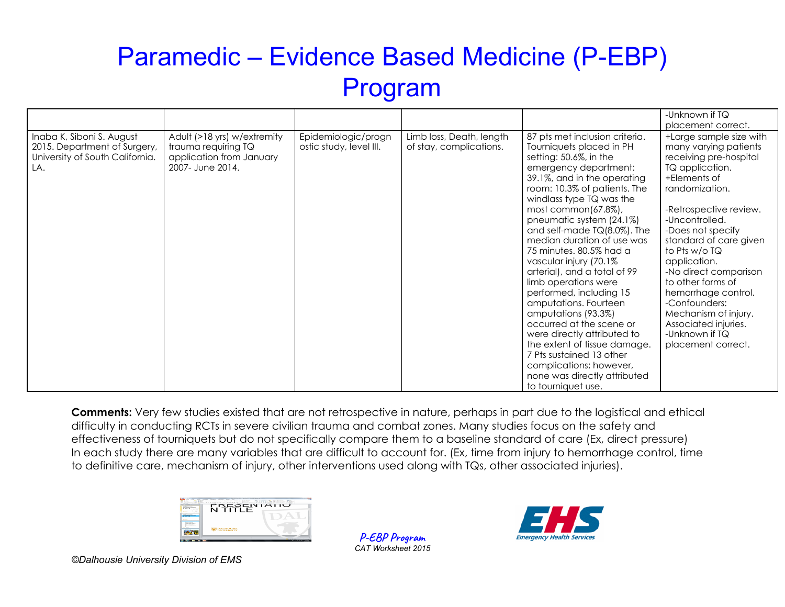|                                                                                                     |                                                                                                    |                                                |                                                     |                                                                                                                                                                                                                                                                                                                                                                                                                                                                                                                                                                                                                                                                                                                                   | -Unknown if TQ                                                                                                                                                                                                                                                                                                                                                                                                                            |
|-----------------------------------------------------------------------------------------------------|----------------------------------------------------------------------------------------------------|------------------------------------------------|-----------------------------------------------------|-----------------------------------------------------------------------------------------------------------------------------------------------------------------------------------------------------------------------------------------------------------------------------------------------------------------------------------------------------------------------------------------------------------------------------------------------------------------------------------------------------------------------------------------------------------------------------------------------------------------------------------------------------------------------------------------------------------------------------------|-------------------------------------------------------------------------------------------------------------------------------------------------------------------------------------------------------------------------------------------------------------------------------------------------------------------------------------------------------------------------------------------------------------------------------------------|
|                                                                                                     |                                                                                                    |                                                |                                                     |                                                                                                                                                                                                                                                                                                                                                                                                                                                                                                                                                                                                                                                                                                                                   | placement correct.                                                                                                                                                                                                                                                                                                                                                                                                                        |
| Inaba K, Siboni S. August<br>2015. Department of Surgery,<br>University of South California.<br>LA. | Adult (>18 yrs) w/extremity<br>trauma requiring TQ<br>application from January<br>2007- June 2014. | Epidemiologic/progn<br>ostic study, level III. | Limb loss, Death, length<br>of stay, complications. | 87 pts met inclusion criteria.<br>Tourniquets placed in PH<br>setting: 50.6%, in the<br>emergency department:<br>39.1%, and in the operating<br>room: 10.3% of patients. The<br>windlass type TQ was the<br>most common $(67.8\%)$ ,<br>pneumatic system (24.1%)<br>and self-made $TQ(8.0\%)$ . The<br>median duration of use was<br>75 minutes. 80.5% had a<br>vascular injury (70.1%<br>arterial), and a total of 99<br>limb operations were<br>performed, including 15<br>amputations. Fourteen<br>amputations (93.3%)<br>occurred at the scene or<br>were directly attributed to<br>the extent of tissue damage.<br>7 Pts sustained 13 other<br>complications; however,<br>none was directly attributed<br>to tourniquet use. | +Large sample size with<br>many varying patients<br>receiving pre-hospital<br>TQ application.<br>+Elements of<br>randomization.<br>-Retrospective review.<br>-Uncontrolled.<br>-Does not specify<br>standard of care given<br>to Pts w/o TQ<br>application.<br>-No direct comparison<br>to other forms of<br>hemorrhage control.<br>-Confounders:<br>Mechanism of injury.<br>Associated injuries.<br>-Unknown if TQ<br>placement correct. |

**Comments:** Very few studies existed that are not retrospective in nature, perhaps in part due to the logistical and ethical difficulty in conducting RCTs in severe civilian trauma and combat zones. Many studies focus on the safety and effectiveness of tourniquets but do not specifically compare them to a baseline standard of care (Ex, direct pressure) In each study there are many variables that are difficult to account for. (Ex, time from injury to hemorrhage control, time to definitive care, mechanism of injury, other interventions used along with TQs, other associated injuries).



**P-EBP Program** *CAT Worksheet 2015*